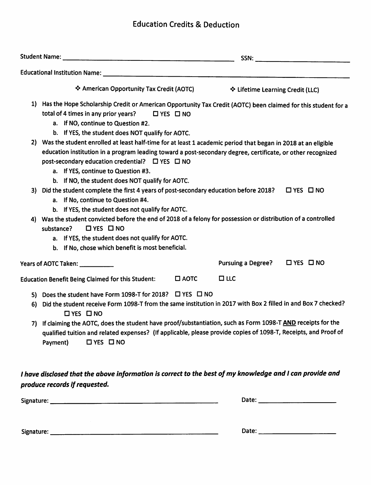## Education Credits & Deduction

|    |                                                                                                                                                                                                                                                                                                                                                                                                                                              | SSN:                             |                      |  |
|----|----------------------------------------------------------------------------------------------------------------------------------------------------------------------------------------------------------------------------------------------------------------------------------------------------------------------------------------------------------------------------------------------------------------------------------------------|----------------------------------|----------------------|--|
|    |                                                                                                                                                                                                                                                                                                                                                                                                                                              |                                  |                      |  |
|    | ❖ American Opportunity Tax Credit (AOTC)                                                                                                                                                                                                                                                                                                                                                                                                     | ❖ Lifetime Learning Credit (LLC) |                      |  |
|    | 1) Has the Hope Scholarship Credit or American Opportunity Tax Credit (AOTC) been claimed for this student for a<br>total of 4 times in any prior years?<br>$\Box$ YES $\Box$ NO<br>a. If NO, continue to Question #2.<br>b. If YES, the student does NOT qualify for AOTC.                                                                                                                                                                  |                                  |                      |  |
|    | 2) Was the student enrolled at least half-time for at least 1 academic period that began in 2018 at an eligible<br>education institution in a program leading toward a post-secondary degree, certificate, or other recognized<br>post-secondary education credential? □ YES □ NO<br>a. If YES, continue to Question #3.<br>b. If NO, the student does NOT qualify for AOTC.                                                                 |                                  |                      |  |
| 3) | Did the student complete the first 4 years of post-secondary education before 2018?<br>$\Box$ YES $\Box$ NO<br>a. If No, continue to Question #4.<br>b. If YES, the student does not qualify for AOTC.                                                                                                                                                                                                                                       |                                  |                      |  |
| 4) | Was the student convicted before the end of 2018 of a felony for possession or distribution of a controlled<br>$\Box$ YES $\Box$ NO<br>substance?<br>a. If YES, the student does not qualify for AOTC.<br>b. If No, chose which benefit is most beneficial.                                                                                                                                                                                  |                                  |                      |  |
|    | Years of AOTC Taken: ____________                                                                                                                                                                                                                                                                                                                                                                                                            | <b>Pursuing a Degree?</b>        | $\Box$ YES $\Box$ NO |  |
|    | <b>Education Benefit Being Claimed for this Student:</b><br>$\Box$ AOTC                                                                                                                                                                                                                                                                                                                                                                      | $\square$ LLC                    |                      |  |
| 6) | 5) Does the student have Form 1098-T for 2018? □ YES □ NO<br>Did the student receive Form 1098-T from the same institution in 2017 with Box 2 filled in and Box 7 checked?<br>$\square$ YES $\square$ NO<br>7) If claiming the AOTC, does the student have proof/substantiation, such as Form 1098-T AND receipts for the<br>qualified tuition and related expenses? (If applicable, please provide copies of 1098-T, Receipts, and Proof of |                                  |                      |  |
|    | Payment)<br>$\Box$ YES $\Box$ NO<br>I have disclosed that the above information is correct to the best of my knowledge and I can provide and<br>produce records if requested.                                                                                                                                                                                                                                                                |                                  |                      |  |
|    |                                                                                                                                                                                                                                                                                                                                                                                                                                              |                                  |                      |  |
|    |                                                                                                                                                                                                                                                                                                                                                                                                                                              |                                  |                      |  |

Signature: Date: